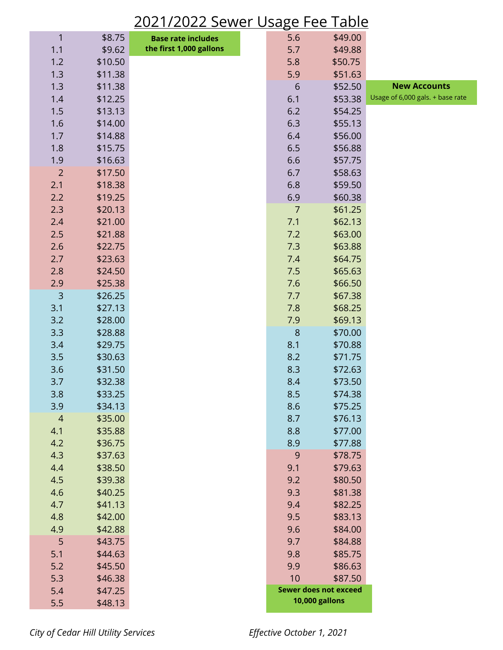## 2021/2022 Sewer Usage Fee Table

| 1                     | \$8.75             | <b>Base rate includes</b> | 5.6            | \$49.00                      |                                  |
|-----------------------|--------------------|---------------------------|----------------|------------------------------|----------------------------------|
| 1.1                   | \$9.62             | the first 1,000 gallons   | 5.7            | \$49.88                      |                                  |
| 1.2                   | \$10.50            |                           | 5.8            | \$50.75                      |                                  |
| 1.3                   | \$11.38            |                           | 5.9            | \$51.63                      |                                  |
| 1.3                   | \$11.38            |                           | 6              | \$52.50                      | <b>New Accounts</b>              |
| 1.4                   | \$12.25            |                           | 6.1            | \$53.38                      | Usage of 6,000 gals. + base rate |
| 1.5                   | \$13.13            |                           | 6.2            | \$54.25                      |                                  |
| 1.6                   | \$14.00            |                           | 6.3            | \$55.13                      |                                  |
| 1.7                   | \$14.88            |                           | 6.4            | \$56.00                      |                                  |
| 1.8                   | \$15.75            |                           | 6.5            | \$56.88                      |                                  |
| 1.9                   | \$16.63            |                           | 6.6            | \$57.75                      |                                  |
| $\overline{2}$        | \$17.50            |                           | 6.7            | \$58.63                      |                                  |
| 2.1                   | \$18.38            |                           | 6.8            | \$59.50                      |                                  |
| 2.2                   | \$19.25            |                           | 6.9            | \$60.38                      |                                  |
| 2.3                   | \$20.13            |                           | $\overline{7}$ | \$61.25                      |                                  |
| 2.4                   | \$21.00            |                           | 7.1            | \$62.13                      |                                  |
| 2.5                   | \$21.88            |                           | 7.2            | \$63.00                      |                                  |
| 2.6                   | \$22.75            |                           | 7.3            | \$63.88                      |                                  |
| 2.7                   | \$23.63            |                           | 7.4            | \$64.75                      |                                  |
| 2.8                   | \$24.50            |                           | 7.5            | \$65.63                      |                                  |
| 2.9                   | \$25.38            |                           | 7.6            | \$66.50                      |                                  |
| 3                     | \$26.25            |                           | 7.7            | \$67.38                      |                                  |
| 3.1                   | \$27.13            |                           | 7.8            | \$68.25                      |                                  |
| 3.2                   | \$28.00            |                           | 7.9            | \$69.13                      |                                  |
| 3.3                   | \$28.88            |                           | 8              | \$70.00                      |                                  |
| 3.4                   | \$29.75            |                           | 8.1            | \$70.88                      |                                  |
| 3.5                   | \$30.63            |                           | 8.2            | \$71.75                      |                                  |
| 3.6                   | \$31.50            |                           | 8.3            | \$72.63                      |                                  |
| 3.7                   | \$32.38            |                           | 8.4            | \$73.50                      |                                  |
| 3.8                   | \$33.25            |                           | 8.5            | \$74.38                      |                                  |
| 3.9<br>$\overline{4}$ | \$34.13<br>\$35.00 |                           | 8.6<br>8.7     | \$75.25<br>\$76.13           |                                  |
| 4.1                   | \$35.88            |                           | 8.8            | \$77.00                      |                                  |
| 4.2                   | \$36.75            |                           | 8.9            | \$77.88                      |                                  |
| 4.3                   | \$37.63            |                           | 9              | \$78.75                      |                                  |
| 4.4                   | \$38.50            |                           | 9.1            | \$79.63                      |                                  |
| 4.5                   | \$39.38            |                           | 9.2            | \$80.50                      |                                  |
| 4.6                   | \$40.25            |                           | 9.3            | \$81.38                      |                                  |
| 4.7                   | \$41.13            |                           | 9.4            | \$82.25                      |                                  |
| 4.8                   | \$42.00            |                           | 9.5            | \$83.13                      |                                  |
| 4.9                   | \$42.88            |                           | 9.6            | \$84.00                      |                                  |
| 5                     | \$43.75            |                           | 9.7            | \$84.88                      |                                  |
| 5.1                   | \$44.63            |                           | 9.8            | \$85.75                      |                                  |
| 5.2                   | \$45.50            |                           | 9.9            | \$86.63                      |                                  |
| 5.3                   | \$46.38            |                           | 10             | \$87.50                      |                                  |
| 5.4                   | \$47.25            |                           |                | <b>Sewer does not exceed</b> |                                  |
| 5.5                   | \$48.13            |                           |                | 10,000 gallons               |                                  |

*City of Cedar Hill Utility Services Effective October 1, 2021*